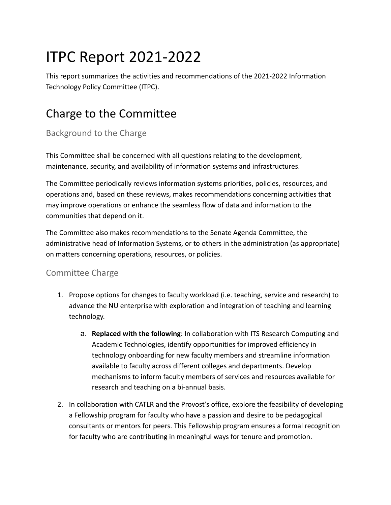# ITPC Report 2021-2022

This report summarizes the activities and recommendations of the 2021-2022 Information Technology Policy Committee (ITPC).

# Charge to the Committee

### Background to the Charge

This Committee shall be concerned with all questions relating to the development, maintenance, security, and availability of information systems and infrastructures.

The Committee periodically reviews information systems priorities, policies, resources, and operations and, based on these reviews, makes recommendations concerning activities that may improve operations or enhance the seamless flow of data and information to the communities that depend on it.

The Committee also makes recommendations to the Senate Agenda Committee, the administrative head of Information Systems, or to others in the administration (as appropriate) on matters concerning operations, resources, or policies.

### Committee Charge

- 1. Propose options for changes to faculty workload (i.e. teaching, service and research) to advance the NU enterprise with exploration and integration of teaching and learning technology.
	- a. **Replaced with the following**: In collaboration with ITS Research Computing and Academic Technologies, identify opportunities for improved efficiency in technology onboarding for new faculty members and streamline information available to faculty across different colleges and departments. Develop mechanisms to inform faculty members of services and resources available for research and teaching on a bi-annual basis.
- 2. In collaboration with CATLR and the Provost's office, explore the feasibility of developing a Fellowship program for faculty who have a passion and desire to be pedagogical consultants or mentors for peers. This Fellowship program ensures a formal recognition for faculty who are contributing in meaningful ways for tenure and promotion.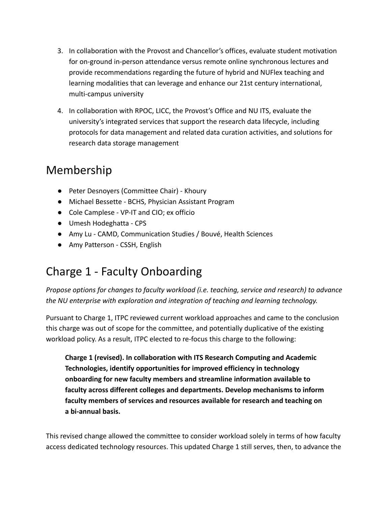- 3. In collaboration with the Provost and Chancellor's offices, evaluate student motivation for on-ground in-person attendance versus remote online synchronous lectures and provide recommendations regarding the future of hybrid and NUFlex teaching and learning modalities that can leverage and enhance our 21st century international, multi-campus university
- 4. In collaboration with RPOC, LICC, the Provost's Office and NU ITS, evaluate the university's integrated services that support the research data lifecycle, including protocols for data management and related data curation activities, and solutions for research data storage management

### Membership

- Peter Desnoyers (Committee Chair) Khoury
- Michael Bessette BCHS, Physician Assistant Program
- Cole Camplese VP-IT and CIO; ex officio
- Umesh Hodeghatta CPS
- Amy Lu CAMD, Communication Studies / Bouvé, Health Sciences
- Amy Patterson CSSH, English

# Charge 1 - Faculty Onboarding

*Propose options for changes to faculty workload (i.e. teaching, service and research) to advance the NU enterprise with exploration and integration of teaching and learning technology.*

Pursuant to Charge 1, ITPC reviewed current workload approaches and came to the conclusion this charge was out of scope for the committee, and potentially duplicative of the existing workload policy. As a result, ITPC elected to re-focus this charge to the following:

**Charge 1 (revised). In collaboration with ITS Research Computing and Academic Technologies, identify opportunities for improved efficiency in technology onboarding for new faculty members and streamline information available to faculty across different colleges and departments. Develop mechanisms to inform faculty members of services and resources available for research and teaching on a bi-annual basis.**

This revised change allowed the committee to consider workload solely in terms of how faculty access dedicated technology resources. This updated Charge 1 still serves, then, to advance the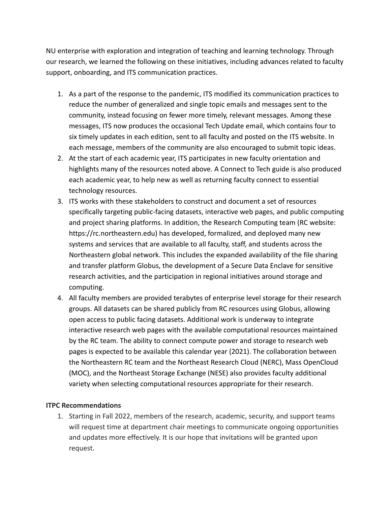NU enterprise with exploration and integration of teaching and learning technology. Through our research, we learned the following on these initiatives, including advances related to faculty support, onboarding, and ITS communication practices.

- 1. As a part of the response to the pandemic, ITS modified its communication practices to reduce the number of generalized and single topic emails and messages sent to the community, instead focusing on fewer more timely, relevant messages. Among these messages, ITS now produces the occasional Tech Update email, which contains four to six timely updates in each edition, sent to all faculty and posted on the ITS website. In each message, members of the community are also encouraged to submit topic ideas.
- 2. At the start of each academic year, ITS participates in new faculty orientation and highlights many of the resources noted above. A Connect to Tech guide is also produced each academic year, to help new as well as returning faculty connect to essential technology resources.
- 3. ITS works with these stakeholders to construct and document a set of resources specifically targeting public-facing datasets, interactive web pages, and public computing and project sharing platforms. In addition, the Research Computing team (RC website: https://rc.northeastern.edu) has developed, formalized, and deployed many new systems and services that are available to all faculty, staff, and students across the Northeastern global network. This includes the expanded availability of the file sharing and transfer platform Globus, the development of a Secure Data Enclave for sensitive research activities, and the participation in regional initiatives around storage and computing.
- 4. All faculty members are provided terabytes of enterprise level storage for their research groups. All datasets can be shared publicly from RC resources using Globus, allowing open access to public facing datasets. Additional work is underway to integrate interactive research web pages with the available computational resources maintained by the RC team. The ability to connect compute power and storage to research web pages is expected to be available this calendar year (2021). The collaboration between the Northeastern RC team and the Northeast Research Cloud (NERC), Mass OpenCloud (MOC), and the Northeast Storage Exchange (NESE) also provides faculty additional variety when selecting computational resources appropriate for their research.

#### **ITPC Recommendations**

1. Starting in Fall 2022, members of the research, academic, security, and support teams will request time at department chair meetings to communicate ongoing opportunities and updates more effectively. It is our hope that invitations will be granted upon request.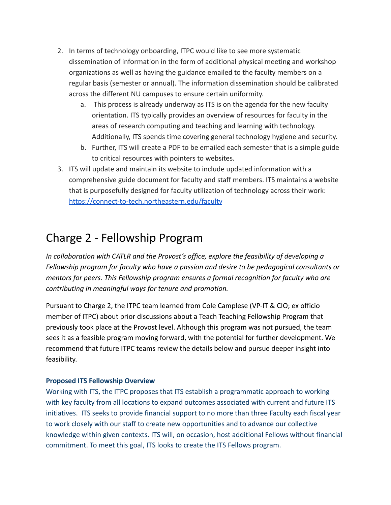- 2. In terms of technology onboarding, ITPC would like to see more systematic dissemination of information in the form of additional physical meeting and workshop organizations as well as having the guidance emailed to the faculty members on a regular basis (semester or annual). The information dissemination should be calibrated across the different NU campuses to ensure certain uniformity.
	- a. This process is already underway as ITS is on the agenda for the new faculty orientation. ITS typically provides an overview of resources for faculty in the areas of research computing and teaching and learning with technology. Additionally, ITS spends time covering general technology hygiene and security.
	- b. Further, ITS will create a PDF to be emailed each semester that is a simple guide to critical resources with pointers to websites.
- 3. ITS will update and maintain its website to include updated information with a comprehensive guide document for faculty and staff members. ITS maintains a website that is purposefully designed for faculty utilization of technology across their work: <https://connect-to-tech.northeastern.edu/faculty>

### Charge 2 - Fellowship Program

*In collaboration with CATLR and the Provost's office, explore the feasibility of developing a Fellowship program for faculty who have a passion and desire to be pedagogical consultants or mentors for peers. This Fellowship program ensures a formal recognition for faculty who are contributing in meaningful ways for tenure and promotion.*

Pursuant to Charge 2, the ITPC team learned from Cole Camplese (VP-IT & CIO; ex officio member of ITPC) about prior discussions about a Teach Teaching Fellowship Program that previously took place at the Provost level. Although this program was not pursued, the team sees it as a feasible program moving forward, with the potential for further development. We recommend that future ITPC teams review the details below and pursue deeper insight into feasibility.

#### **Proposed ITS Fellowship Overview**

Working with ITS, the ITPC proposes that ITS establish a programmatic approach to working with key faculty from all locations to expand outcomes associated with current and future ITS initiatives. ITS seeks to provide financial support to no more than three Faculty each fiscal year to work closely with our staff to create new opportunities and to advance our collective knowledge within given contexts. ITS will, on occasion, host additional Fellows without financial commitment. To meet this goal, ITS looks to create the ITS Fellows program.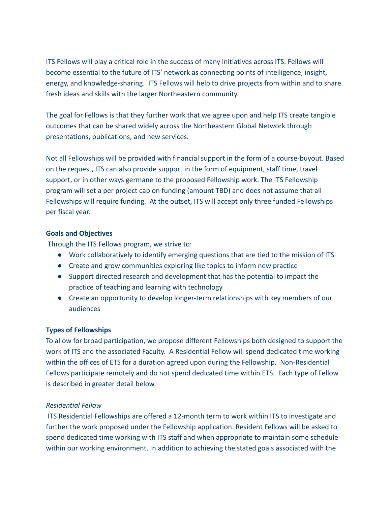ITS Fellows will play a critical role in the success of many initiatives across ITS. Fellows will become essential to the future of ITS' network as connecting points of intelligence, insight, energy, and knowledge-sharing. ITS Fellows will help to drive projects from within and to share fresh ideas and skills with the larger Northeastern community.

The goal for Fellows is that they further work that we agree upon and help ITS create tangible outcomes that can be shared widely across the Northeastern Global Network through presentations, publications, and new services.

Not all Fellowships will be provided with financial support in the form of a course-buyout. Based on the request, ITS can also provide support in the form of equipment, staff time, travel support, or in other ways germane to the proposed Fellowship work. The ITS Fellowship program will set a per project cap on funding (amount TBD) and does not assume that all Fellowships will require funding. At the outset, ITS will accept only three funded Fellowships per fiscal year.

#### **Goals and Objectives**

Through the ITS Fellows program, we strive to:

- Work collaboratively to identify emerging questions that are tied to the mission of ITS
- Create and grow communities exploring like topics to inform new practice
- Support directed research and development that has the potential to impact the practice of teaching and learning with technology
- Create an opportunity to develop longer-term relationships with key members of our audiences

#### **Types of Fellowships**

To allow for broad participation, we propose different Fellowships both designed to support the work of ITS and the associated Faculty. A Residential Fellow will spend dedicated time working within the offices of ETS for a duration agreed upon during the Fellowship. Non-Residential Fellows participate remotely and do not spend dedicated time within ETS. Each type of Fellow is described in greater detail below.

#### *Residential Fellow*

ITS Residential Fellowships are offered a 12-month term to work within ITS to investigate and further the work proposed under the Fellowship application. Resident Fellows will be asked to spend dedicated time working with ITS staff and when appropriate to maintain some schedule within our working environment. In addition to achieving the stated goals associated with the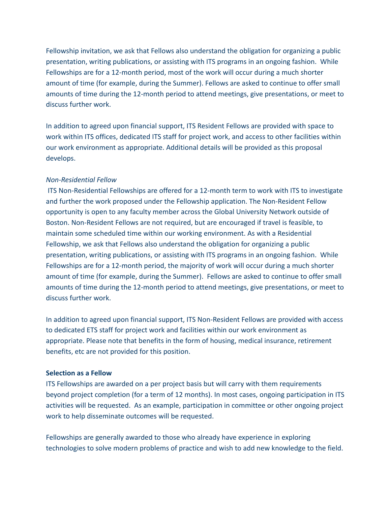Fellowship invitation, we ask that Fellows also understand the obligation for organizing a public presentation, writing publications, or assisting with ITS programs in an ongoing fashion. While Fellowships are for a 12-month period, most of the work will occur during a much shorter amount of time (for example, during the Summer). Fellows are asked to continue to offer small amounts of time during the 12-month period to attend meetings, give presentations, or meet to discuss further work.

In addition to agreed upon financial support, ITS Resident Fellows are provided with space to work within ITS offices, dedicated ITS staff for project work, and access to other facilities within our work environment as appropriate. Additional details will be provided as this proposal develops.

#### *Non-Residential Fellow*

ITS Non-Residential Fellowships are offered for a 12-month term to work with ITS to investigate and further the work proposed under the Fellowship application. The Non-Resident Fellow opportunity is open to any faculty member across the Global University Network outside of Boston. Non-Resident Fellows are not required, but are encouraged if travel is feasible, to maintain some scheduled time within our working environment. As with a Residential Fellowship, we ask that Fellows also understand the obligation for organizing a public presentation, writing publications, or assisting with ITS programs in an ongoing fashion. While Fellowships are for a 12-month period, the majority of work will occur during a much shorter amount of time (for example, during the Summer). Fellows are asked to continue to offer small amounts of time during the 12-month period to attend meetings, give presentations, or meet to discuss further work.

In addition to agreed upon financial support, ITS Non-Resident Fellows are provided with access to dedicated ETS staff for project work and facilities within our work environment as appropriate. Please note that benefits in the form of housing, medical insurance, retirement benefits, etc are not provided for this position.

#### **Selection as a Fellow**

ITS Fellowships are awarded on a per project basis but will carry with them requirements beyond project completion (for a term of 12 months). In most cases, ongoing participation in ITS activities will be requested. As an example, participation in committee or other ongoing project work to help disseminate outcomes will be requested.

Fellowships are generally awarded to those who already have experience in exploring technologies to solve modern problems of practice and wish to add new knowledge to the field.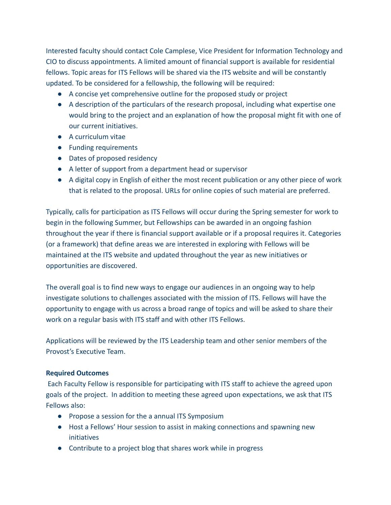Interested faculty should contact Cole Camplese, Vice President for Information Technology and CIO to discuss appointments. A limited amount of financial support is available for residential fellows. Topic areas for ITS Fellows will be shared via the ITS website and will be constantly updated. To be considered for a fellowship, the following will be required:

- A concise yet comprehensive outline for the proposed study or project
- A description of the particulars of the research proposal, including what expertise one would bring to the project and an explanation of how the proposal might fit with one of our current initiatives.
- A curriculum vitae
- Funding requirements
- Dates of proposed residency
- A letter of support from a department head or supervisor
- A digital copy in English of either the most recent publication or any other piece of work that is related to the proposal. URLs for online copies of such material are preferred.

Typically, calls for participation as ITS Fellows will occur during the Spring semester for work to begin in the following Summer, but Fellowships can be awarded in an ongoing fashion throughout the year if there is financial support available or if a proposal requires it. Categories (or a framework) that define areas we are interested in exploring with Fellows will be maintained at the ITS website and updated throughout the year as new initiatives or opportunities are discovered.

The overall goal is to find new ways to engage our audiences in an ongoing way to help investigate solutions to challenges associated with the mission of ITS. Fellows will have the opportunity to engage with us across a broad range of topics and will be asked to share their work on a regular basis with ITS staff and with other ITS Fellows.

Applications will be reviewed by the ITS Leadership team and other senior members of the Provost's Executive Team.

#### **Required Outcomes**

Each Faculty Fellow is responsible for participating with ITS staff to achieve the agreed upon goals of the project. In addition to meeting these agreed upon expectations, we ask that ITS Fellows also:

- Propose a session for the a annual ITS Symposium
- Host a Fellows' Hour session to assist in making connections and spawning new initiatives
- Contribute to a project blog that shares work while in progress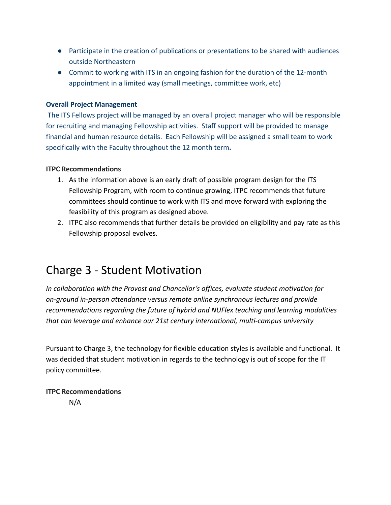- Participate in the creation of publications or presentations to be shared with audiences outside Northeastern
- Commit to working with ITS in an ongoing fashion for the duration of the 12-month appointment in a limited way (small meetings, committee work, etc)

#### **Overall Project Management**

The ITS Fellows project will be managed by an overall project manager who will be responsible for recruiting and managing Fellowship activities. Staff support will be provided to manage financial and human resource details. Each Fellowship will be assigned a small team to work specifically with the Faculty throughout the 12 month term**.**

#### **ITPC Recommendations**

- 1. As the information above is an early draft of possible program design for the ITS Fellowship Program, with room to continue growing, ITPC recommends that future committees should continue to work with ITS and move forward with exploring the feasibility of this program as designed above.
- 2. ITPC also recommends that further details be provided on eligibility and pay rate as this Fellowship proposal evolves.

### Charge 3 - Student Motivation

*In collaboration with the Provost and Chancellor's offices, evaluate student motivation for on-ground in-person attendance versus remote online synchronous lectures and provide recommendations regarding the future of hybrid and NUFlex teaching and learning modalities that can leverage and enhance our 21st century international, multi-campus university*

Pursuant to Charge 3, the technology for flexible education styles is available and functional. It was decided that student motivation in regards to the technology is out of scope for the IT policy committee.

**ITPC Recommendations** N/A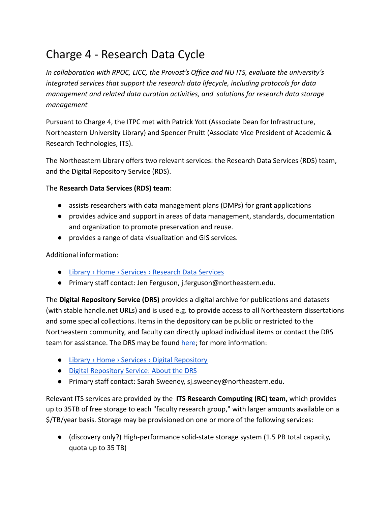### Charge 4 - Research Data Cycle

*In collaboration with RPOC, LICC, the Provost's Office and NU ITS, evaluate the university's integrated services that support the research data lifecycle, including protocols for data management and related data curation activities, and solutions for research data storage management*

Pursuant to Charge 4, the ITPC met with Patrick Yott (Associate Dean for Infrastructure, Northeastern University Library) and Spencer Pruitt (Associate Vice President of Academic & Research Technologies, ITS).

The Northeastern Library offers two relevant services: the Research Data Services (RDS) team, and the Digital Repository Service (RDS).

#### The **Research Data Services (RDS) team**:

- assists researchers with data management plans (DMPs) for grant applications
- provides advice and support in areas of data management, standards, documentation and organization to promote preservation and reuse.
- provides a range of data visualization and GIS services.

Additional information:

- [Library › Home › Services › Research Data Services](https://library.northeastern.edu/services/research-data-services)
- Primary staff contact: Jen Ferguson, j.ferguson@northeastern.edu.

The **Digital Repository Service (DRS)** provides a digital archive for publications and datasets (with stable handle.net URLs) and is used e.g. to provide access to all Northeastern dissertations and some special collections. Items in the depository can be public or restricted to the Northeastern community, and faculty can directly upload individual items or contact the DRS team for assistance. The DRS may be found [here](https://repository.library.northeastern.edu/); for more information:

- [Library › Home › Services › Digital Repository](https://library.northeastern.edu/services/digital-repository)
- [Digital Repository Service: About the DRS](https://subjectguides.lib.neu.edu/drs)
- Primary staff contact: Sarah Sweeney, sj. sweeney@northeastern.edu.

Relevant ITS services are provided by the **ITS Research Computing (RC) team,** which provides up to 35TB of free storage to each "faculty research group," with larger amounts available on a \$/TB/year basis. Storage may be provisioned on one or more of the following services:

● (discovery only?) High-performance solid-state storage system (1.5 PB total capacity, quota up to 35 TB)